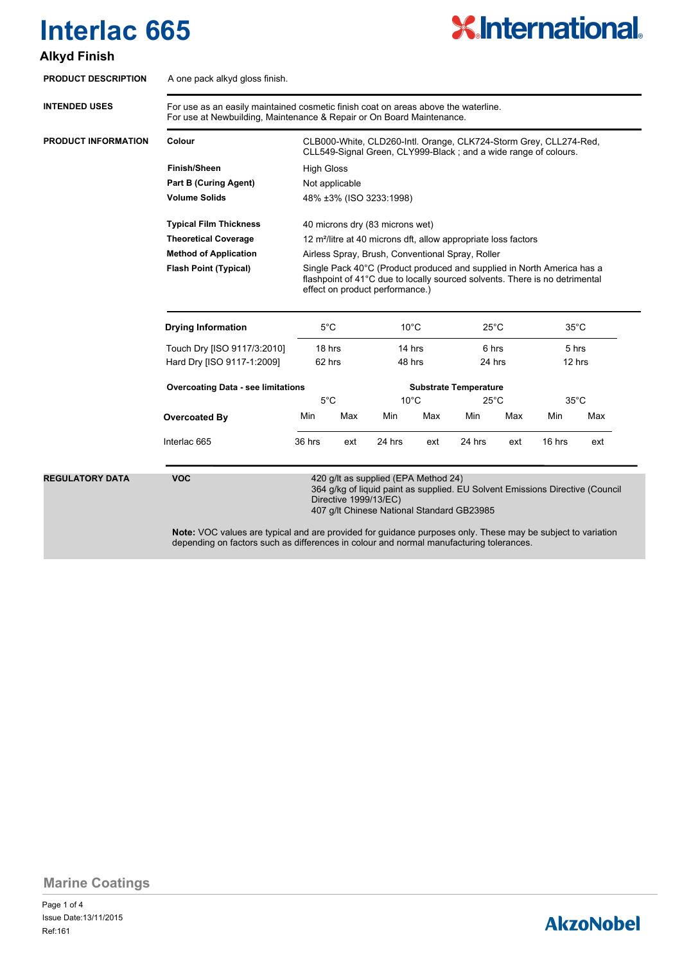# **X.International.**

### **Alkyd Finish**

| <b>PRODUCT DESCRIPTION</b> | A one pack alkyd gloss finish.                                                                                                                              |                                                                                                                                                                                          |     |                                                                                                                                                                                              |     |                                                                   |     |                                   |     |  |  |
|----------------------------|-------------------------------------------------------------------------------------------------------------------------------------------------------------|------------------------------------------------------------------------------------------------------------------------------------------------------------------------------------------|-----|----------------------------------------------------------------------------------------------------------------------------------------------------------------------------------------------|-----|-------------------------------------------------------------------|-----|-----------------------------------|-----|--|--|
| <b>INTENDED USES</b>       | For use as an easily maintained cosmetic finish coat on areas above the waterline.<br>For use at Newbuilding, Maintenance & Repair or On Board Maintenance. |                                                                                                                                                                                          |     |                                                                                                                                                                                              |     |                                                                   |     |                                   |     |  |  |
| <b>PRODUCT INFORMATION</b> | Colour                                                                                                                                                      | CLB000-White, CLD260-Intl. Orange, CLK724-Storm Grey, CLL274-Red,<br>CLL549-Signal Green, CLY999-Black; and a wide range of colours.                                                     |     |                                                                                                                                                                                              |     |                                                                   |     |                                   |     |  |  |
|                            | Finish/Sheen                                                                                                                                                | <b>High Gloss</b>                                                                                                                                                                        |     |                                                                                                                                                                                              |     |                                                                   |     |                                   |     |  |  |
|                            | <b>Part B (Curing Agent)</b>                                                                                                                                | Not applicable                                                                                                                                                                           |     |                                                                                                                                                                                              |     |                                                                   |     |                                   |     |  |  |
|                            | Volume Solids                                                                                                                                               | 48% ±3% (ISO 3233:1998)                                                                                                                                                                  |     |                                                                                                                                                                                              |     |                                                                   |     |                                   |     |  |  |
|                            | <b>Typical Film Thickness</b><br>40 microns dry (83 microns wet)                                                                                            |                                                                                                                                                                                          |     |                                                                                                                                                                                              |     |                                                                   |     |                                   |     |  |  |
|                            | <b>Theoretical Coverage</b>                                                                                                                                 | 12 m <sup>2</sup> /litre at 40 microns dft, allow appropriate loss factors<br>Airless Spray, Brush, Conventional Spray, Roller                                                           |     |                                                                                                                                                                                              |     |                                                                   |     |                                   |     |  |  |
|                            | <b>Method of Application</b>                                                                                                                                |                                                                                                                                                                                          |     |                                                                                                                                                                                              |     |                                                                   |     |                                   |     |  |  |
|                            | <b>Flash Point (Typical)</b>                                                                                                                                | Single Pack 40°C (Product produced and supplied in North America has a<br>flashpoint of 41°C due to locally sourced solvents. There is no detrimental<br>effect on product performance.) |     |                                                                                                                                                                                              |     |                                                                   |     |                                   |     |  |  |
|                            | <b>Drying Information</b>                                                                                                                                   | $5^{\circ}$ C<br>18 hrs<br>62 hrs                                                                                                                                                        |     | $10^{\circ}$ C<br>14 hrs<br>48 hrs                                                                                                                                                           |     | $25^{\circ}$ C<br>6 hrs<br>24 hrs<br><b>Substrate Temperature</b> |     | $35^{\circ}$ C<br>5 hrs<br>12 hrs |     |  |  |
|                            | Touch Dry [ISO 9117/3:2010]                                                                                                                                 |                                                                                                                                                                                          |     |                                                                                                                                                                                              |     |                                                                   |     |                                   |     |  |  |
|                            | Hard Dry [ISO 9117-1:2009]                                                                                                                                  |                                                                                                                                                                                          |     |                                                                                                                                                                                              |     |                                                                   |     |                                   |     |  |  |
|                            | <b>Overcoating Data - see limitations</b>                                                                                                                   |                                                                                                                                                                                          |     |                                                                                                                                                                                              |     |                                                                   |     |                                   |     |  |  |
|                            |                                                                                                                                                             | $5^{\circ}$ C                                                                                                                                                                            |     | $10^{\circ}$ C                                                                                                                                                                               |     | $25^{\circ}$ C                                                    |     | $35^{\circ}$ C                    |     |  |  |
|                            | Overcoated By                                                                                                                                               | Min                                                                                                                                                                                      | Max | Min                                                                                                                                                                                          | Max | Min                                                               | Max | Min                               | Max |  |  |
|                            | Interlac 665                                                                                                                                                | 36 hrs                                                                                                                                                                                   | ext | 24 hrs                                                                                                                                                                                       | ext | 24 hrs                                                            | ext | 16 hrs                            | ext |  |  |
| <b>REGULATORY DATA</b>     | <b>VOC</b><br>Note: VOC values are typical and are provided for guidance purposes only. These may be subject to variation                                   |                                                                                                                                                                                          |     | 420 g/lt as supplied (EPA Method 24)<br>364 g/kg of liquid paint as supplied. EU Solvent Emissions Directive (Council<br>Directive 1999/13/EC)<br>407 g/lt Chinese National Standard GB23985 |     |                                                                   |     |                                   |     |  |  |

depending on factors such as differences in colour and normal manufacturing tolerances.

**Marine Coatings**

Page 1 of 4 Ref:161 Issue Date:13/11/2015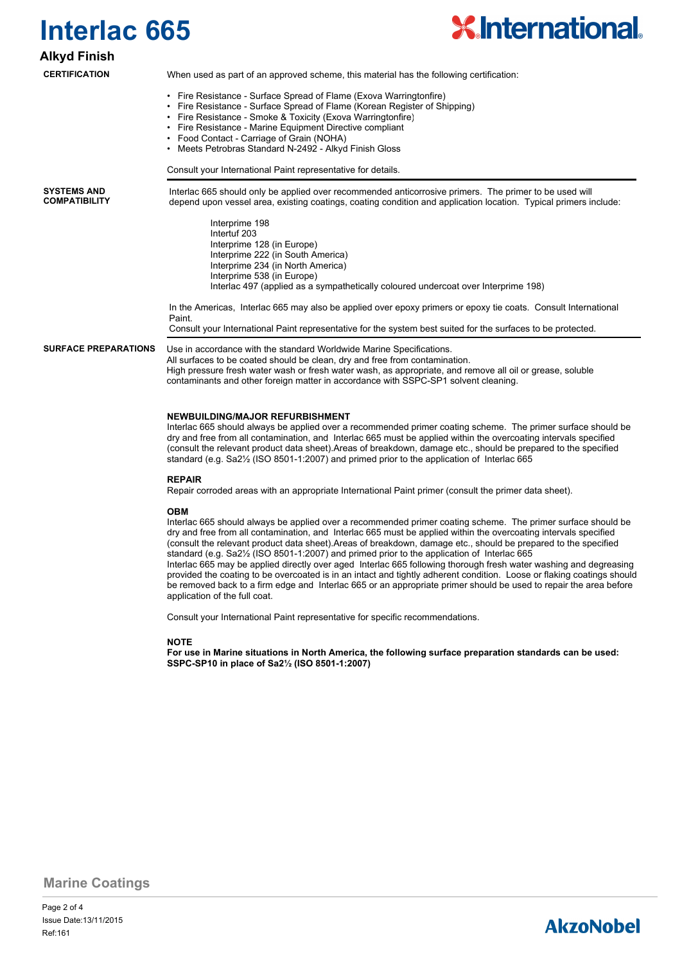

### **Alkyd Finish**

#### **CERTIFICATION**

When used as part of an approved scheme, this material has the following certification:

- Fire Resistance Surface Spread of Flame (Exova Warringtonfire)
- Fire Resistance Surface Spread of Flame (Korean Register of Shipping)
- Fire Resistance Smoke & Toxicity (Exova Warringtonfire)
- Fire Resistance Marine Equipment Directive compliant
- Food Contact Carriage of Grain (NOHA)
- Meets Petrobras Standard N-2492 Alkyd Finish Gloss

Consult your International Paint representative for details.

**SYSTEMS AND COMPATIBILITY** Interlac 665 should only be applied over recommended anticorrosive primers. The primer to be used will depend upon vessel area, existing coatings, coating condition and application location. Typical primers include:

> Interprime 198 Intertuf 203 Interprime 128 (in Europe) Interprime 222 (in South America) Interprime 234 (in North America) Interprime 538 (in Europe) Interlac 497 (applied as a sympathetically coloured undercoat over Interprime 198)

In the Americas, Interlac 665 may also be applied over epoxy primers or epoxy tie coats. Consult International **Paint** 

Consult your International Paint representative for the system best suited for the surfaces to be protected.

**SURFACE PREPARATIONS**

Use in accordance with the standard Worldwide Marine Specifications. All surfaces to be coated should be clean, dry and free from contamination. High pressure fresh water wash or fresh water wash, as appropriate, and remove all oil or grease, soluble contaminants and other foreign matter in accordance with SSPC-SP1 solvent cleaning.

#### **NEWBUILDING/MAJOR REFURBISHMENT**

Interlac 665 should always be applied over a recommended primer coating scheme. The primer surface should be dry and free from all contamination, and Interlac 665 must be applied within the overcoating intervals specified (consult the relevant product data sheet).Areas of breakdown, damage etc., should be prepared to the specified standard (e.g. Sa2½ (ISO 8501-1:2007) and primed prior to the application of Interlac 665

#### **REPAIR**

Repair corroded areas with an appropriate International Paint primer (consult the primer data sheet).

#### **OBM**

Interlac 665 should always be applied over a recommended primer coating scheme. The primer surface should be dry and free from all contamination, and Interlac 665 must be applied within the overcoating intervals specified (consult the relevant product data sheet).Areas of breakdown, damage etc., should be prepared to the specified standard (e.g. Sa2½ (ISO 8501-1:2007) and primed prior to the application of Interlac 665 Interlac 665 may be applied directly over aged Interlac 665 following thorough fresh water washing and degreasing provided the coating to be overcoated is in an intact and tightly adherent condition. Loose or flaking coatings should be removed back to a firm edge and Interlac 665 or an appropriate primer should be used to repair the area before application of the full coat.

Consult your International Paint representative for specific recommendations.

#### **NOTE**

**For use in Marine situations in North America, the following surface preparation standards can be used: SSPC-SP10 in place of Sa2½ (ISO 8501-1:2007)**

**Marine Coatings**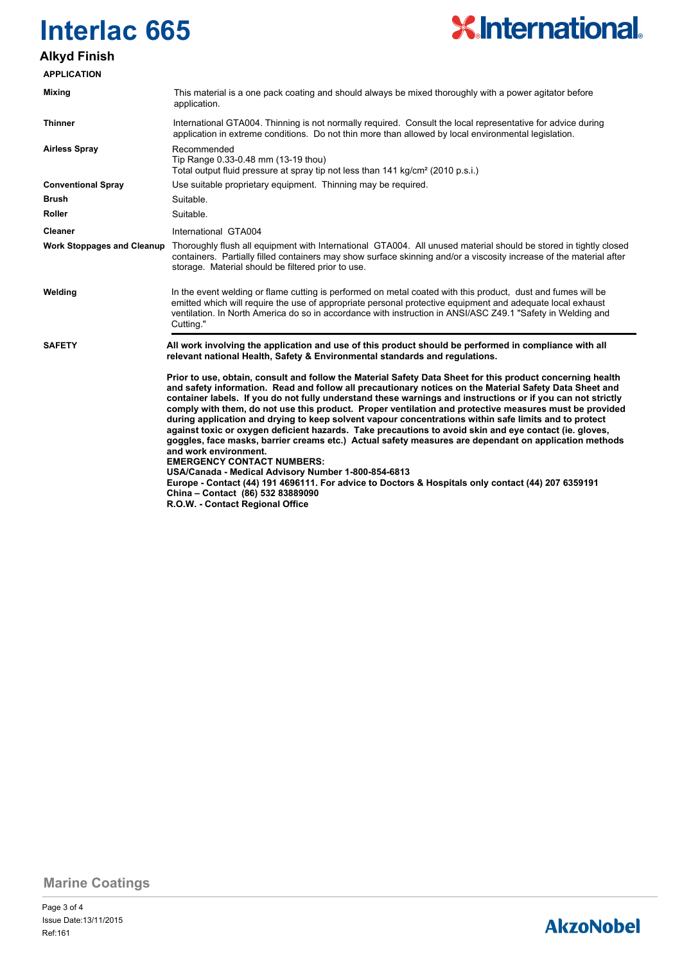

### **Alkyd Finish**

| <b>APPLICATION</b>                |                                                                                                                                                                                                                                                                                                                                                                                                                                                                                                                                                                                                                                                                                                                                                                                                                                                                                                                                                                                                                                                                                |
|-----------------------------------|--------------------------------------------------------------------------------------------------------------------------------------------------------------------------------------------------------------------------------------------------------------------------------------------------------------------------------------------------------------------------------------------------------------------------------------------------------------------------------------------------------------------------------------------------------------------------------------------------------------------------------------------------------------------------------------------------------------------------------------------------------------------------------------------------------------------------------------------------------------------------------------------------------------------------------------------------------------------------------------------------------------------------------------------------------------------------------|
| <b>Mixing</b>                     | This material is a one pack coating and should always be mixed thoroughly with a power agitator before<br>application.                                                                                                                                                                                                                                                                                                                                                                                                                                                                                                                                                                                                                                                                                                                                                                                                                                                                                                                                                         |
| <b>Thinner</b>                    | International GTA004. Thinning is not normally required. Consult the local representative for advice during<br>application in extreme conditions. Do not thin more than allowed by local environmental legislation.                                                                                                                                                                                                                                                                                                                                                                                                                                                                                                                                                                                                                                                                                                                                                                                                                                                            |
| <b>Airless Spray</b>              | Recommended<br>Tip Range 0.33-0.48 mm (13-19 thou)<br>Total output fluid pressure at spray tip not less than 141 kg/cm <sup>2</sup> (2010 p.s.i.)                                                                                                                                                                                                                                                                                                                                                                                                                                                                                                                                                                                                                                                                                                                                                                                                                                                                                                                              |
| <b>Conventional Spray</b>         | Use suitable proprietary equipment. Thinning may be required.                                                                                                                                                                                                                                                                                                                                                                                                                                                                                                                                                                                                                                                                                                                                                                                                                                                                                                                                                                                                                  |
| Brush                             | Suitable.                                                                                                                                                                                                                                                                                                                                                                                                                                                                                                                                                                                                                                                                                                                                                                                                                                                                                                                                                                                                                                                                      |
| <b>Roller</b>                     | Suitable.                                                                                                                                                                                                                                                                                                                                                                                                                                                                                                                                                                                                                                                                                                                                                                                                                                                                                                                                                                                                                                                                      |
| <b>Cleaner</b>                    | International GTA004                                                                                                                                                                                                                                                                                                                                                                                                                                                                                                                                                                                                                                                                                                                                                                                                                                                                                                                                                                                                                                                           |
| <b>Work Stoppages and Cleanup</b> | Thoroughly flush all equipment with International GTA004. All unused material should be stored in tightly closed<br>containers. Partially filled containers may show surface skinning and/or a viscosity increase of the material after<br>storage. Material should be filtered prior to use.                                                                                                                                                                                                                                                                                                                                                                                                                                                                                                                                                                                                                                                                                                                                                                                  |
| Welding                           | In the event welding or flame cutting is performed on metal coated with this product, dust and fumes will be<br>emitted which will require the use of appropriate personal protective equipment and adequate local exhaust<br>ventilation. In North America do so in accordance with instruction in ANSI/ASC Z49.1 "Safety in Welding and<br>Cutting."                                                                                                                                                                                                                                                                                                                                                                                                                                                                                                                                                                                                                                                                                                                         |
| <b>SAFETY</b>                     | All work involving the application and use of this product should be performed in compliance with all<br>relevant national Health, Safety & Environmental standards and regulations.                                                                                                                                                                                                                                                                                                                                                                                                                                                                                                                                                                                                                                                                                                                                                                                                                                                                                           |
|                                   | Prior to use, obtain, consult and follow the Material Safety Data Sheet for this product concerning health<br>and safety information. Read and follow all precautionary notices on the Material Safety Data Sheet and<br>container labels. If you do not fully understand these warnings and instructions or if you can not strictly<br>comply with them, do not use this product. Proper ventilation and protective measures must be provided<br>during application and drying to keep solvent vapour concentrations within safe limits and to protect<br>against toxic or oxygen deficient hazards. Take precautions to avoid skin and eye contact (ie. gloves,<br>goggles, face masks, barrier creams etc.) Actual safety measures are dependant on application methods<br>and work environment.<br><b>EMERGENCY CONTACT NUMBERS:</b><br>USA/Canada - Medical Advisory Number 1-800-854-6813<br>Europe - Contact (44) 191 4696111. For advice to Doctors & Hospitals only contact (44) 207 6359191<br>China - Contact (86) 532 83889090<br>R.O.W. - Contact Regional Office |

**Marine Coatings**